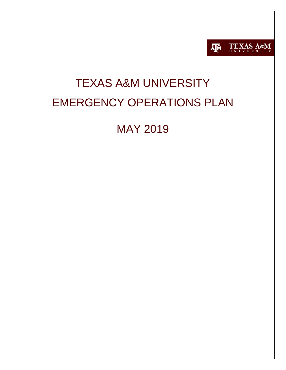

# TEXAS A&M UNIVERSITY EMERGENCY OPERATIONS PLAN

# MAY 2019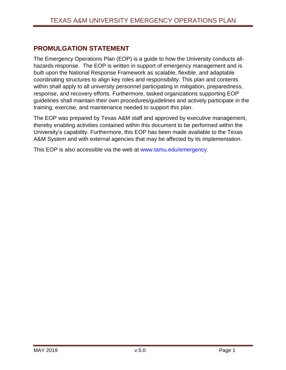# <span id="page-1-0"></span>**PROMULGATION STATEMENT**

The Emergency Operations Plan (EOP) is a guide to how the University conducts allhazards response. The EOP is written in support of emergency management and is built upon the National Response Framework as scalable, flexible, and adaptable coordinating structures to align key roles and responsibility. This plan and contents within shall apply to all university personnel participating in mitigation, preparedness, response, and recovery efforts. Furthermore, tasked organizations supporting EOP guidelines shall maintain their own procedures/guidelines and actively participate in the training, exercise, and maintenance needed to support this plan.

The EOP was prepared by Texas A&M staff and approved by executive management, thereby enabling activities contained within this document to be performed within the University's capability. Furthermore, this EOP has been made available to the Texas A&M System and with external agencies that may be affected by its implementation.

This EOP is also accessible via the web at [www.tamu.edu/emergency.](http://www.tamu.edu/emergency)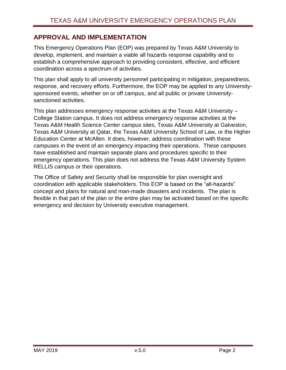# <span id="page-2-0"></span>**APPROVAL AND IMPLEMENTATION**

This Emergency Operations Plan (EOP) was prepared by Texas A&M University to develop, implement, and maintain a viable all hazards response capability and to establish a comprehensive approach to providing consistent, effective, and efficient coordination across a spectrum of activities.

This plan shall apply to all university personnel participating in mitigation, preparedness, response, and recovery efforts. Furthermore, the EOP may be applied to any Universitysponsored events, whether on or off campus, and all public or private Universitysanctioned activities.

This plan addresses emergency response activities at the Texas A&M University – College Station campus. It does not address emergency response activities at the Texas A&M Health Science Center campus sites, Texas A&M University at Galveston, Texas A&M University at Qatar, the Texas A&M University School of Law, or the Higher Education Center at McAllen. It does, however, address coordination with these campuses in the event of an emergency impacting their operations. These campuses have established and maintain separate plans and procedures specific to their emergency operations. This plan does not address the Texas A&M University System RELLIS campus or their operations.

The Office of Safety and Security shall be responsible for plan oversight and coordination with applicable stakeholders. This EOP is based on the "all-hazards" concept and plans for natural and man-made disasters and incidents. The plan is flexible in that part of the plan or the entire plan may be activated based on the specific emergency and decision by University executive management.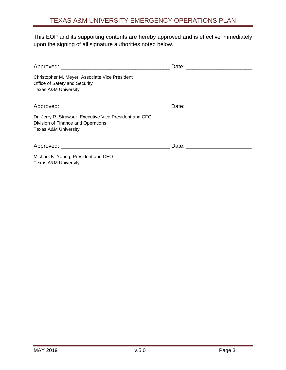This EOP and its supporting contents are hereby approved and is effective immediately upon the signing of all signature authorities noted below.

| Christopher M. Meyer, Associate Vice President<br>Office of Safety and Security<br><b>Texas A&amp;M University</b>               |  |
|----------------------------------------------------------------------------------------------------------------------------------|--|
|                                                                                                                                  |  |
| Dr. Jerry R. Strawser, Executive Vice President and CFO<br>Division of Finance and Operations<br><b>Texas A&amp;M University</b> |  |
|                                                                                                                                  |  |
| Michael K. Young, President and CEO<br><b>Texas A&amp;M University</b>                                                           |  |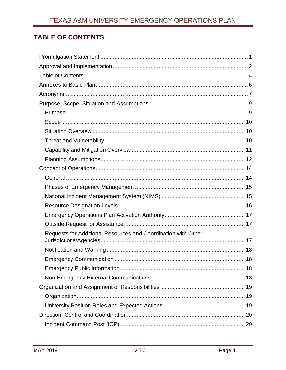# <span id="page-4-0"></span>**TABLE OF CONTENTS**

| Requests for Additional Resources and Coordination with Other |
|---------------------------------------------------------------|
|                                                               |
|                                                               |
|                                                               |
|                                                               |
|                                                               |
|                                                               |
|                                                               |
|                                                               |
|                                                               |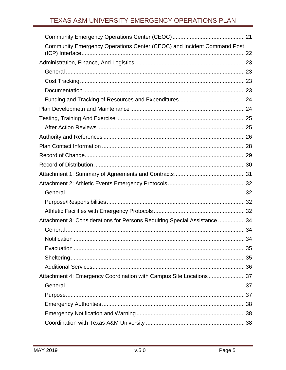| Community Emergency Operations Center (CEOC) and Incident Command Post    |  |
|---------------------------------------------------------------------------|--|
|                                                                           |  |
|                                                                           |  |
|                                                                           |  |
|                                                                           |  |
|                                                                           |  |
|                                                                           |  |
|                                                                           |  |
|                                                                           |  |
|                                                                           |  |
|                                                                           |  |
|                                                                           |  |
|                                                                           |  |
|                                                                           |  |
|                                                                           |  |
|                                                                           |  |
|                                                                           |  |
|                                                                           |  |
| Attachment 3: Considerations for Persons Requiring Special Assistance  34 |  |
|                                                                           |  |
|                                                                           |  |
|                                                                           |  |
|                                                                           |  |
|                                                                           |  |
| Attachment 4: Emergency Coordination with Campus Site Locations  37       |  |
|                                                                           |  |
|                                                                           |  |
|                                                                           |  |
|                                                                           |  |
|                                                                           |  |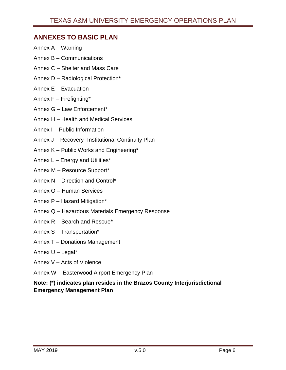# <span id="page-6-0"></span>**ANNEXES TO BASIC PLAN**

- Annex A Warning
- Annex B Communications
- Annex C Shelter and Mass Care
- Annex D Radiological Protection**\***
- Annex E Evacuation
- Annex F Firefighting\*
- Annex G Law Enforcement\*
- Annex H Health and Medical Services
- Annex I Public Information
- Annex J Recovery- Institutional Continuity Plan
- Annex K Public Works and Engineering**\***
- Annex L Energy and Utilities\*
- Annex M Resource Support\*
- Annex N Direction and Control\*
- Annex O Human Services
- Annex P Hazard Mitigation\*
- Annex Q Hazardous Materials Emergency Response
- Annex R Search and Rescue\*
- Annex S Transportation\*
- Annex T Donations Management
- Annex U Legal\*
- Annex V Acts of Violence
- Annex W Easterwood Airport Emergency Plan

### **Note: (\*) indicates plan resides in the Brazos County Interjurisdictional Emergency Management Plan**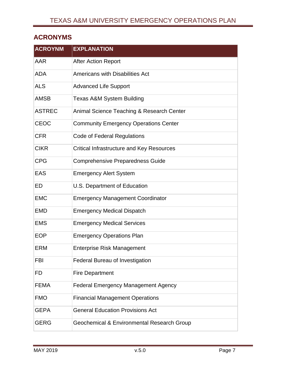# <span id="page-7-0"></span>**ACRONYMS**

| <b>ACROYNM</b> | <b>EXPLANATION</b>                           |
|----------------|----------------------------------------------|
| AAR            | <b>After Action Report</b>                   |
| <b>ADA</b>     | <b>Americans with Disabilities Act</b>       |
| <b>ALS</b>     | <b>Advanced Life Support</b>                 |
| <b>AMSB</b>    | <b>Texas A&amp;M System Building</b>         |
| <b>ASTREC</b>  | Animal Science Teaching & Research Center    |
| <b>CEOC</b>    | <b>Community Emergency Operations Center</b> |
| <b>CFR</b>     | Code of Federal Regulations                  |
| <b>CIKR</b>    | Critical Infrastructure and Key Resources    |
| <b>CPG</b>     | <b>Comprehensive Preparedness Guide</b>      |
| <b>EAS</b>     | <b>Emergency Alert System</b>                |
| ED             | U.S. Department of Education                 |
| <b>EMC</b>     | <b>Emergency Management Coordinator</b>      |
| <b>EMD</b>     | <b>Emergency Medical Dispatch</b>            |
| <b>EMS</b>     | <b>Emergency Medical Services</b>            |
| <b>EOP</b>     | <b>Emergency Operations Plan</b>             |
| <b>ERM</b>     | <b>Enterprise Risk Management</b>            |
| FBI            | <b>Federal Bureau of Investigation</b>       |
| FD             | <b>Fire Department</b>                       |
| <b>FEMA</b>    | <b>Federal Emergency Management Agency</b>   |
| <b>FMO</b>     | <b>Financial Management Operations</b>       |
| <b>GEPA</b>    | <b>General Education Provisions Act</b>      |
| <b>GERG</b>    | Geochemical & Environmental Research Group   |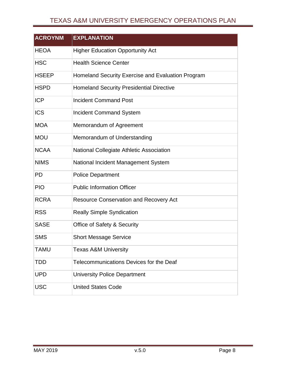# TEXAS A&M UNIVERSITY EMERGENCY OPERATIONS PLAN

| <b>ACROYNM</b> | <b>EXPLANATION</b>                                |
|----------------|---------------------------------------------------|
| <b>HEOA</b>    | <b>Higher Education Opportunity Act</b>           |
| <b>HSC</b>     | <b>Health Science Center</b>                      |
| <b>HSEEP</b>   | Homeland Security Exercise and Evaluation Program |
| <b>HSPD</b>    | <b>Homeland Security Presidential Directive</b>   |
| <b>ICP</b>     | <b>Incident Command Post</b>                      |
| <b>ICS</b>     | <b>Incident Command System</b>                    |
| <b>MOA</b>     | Memorandum of Agreement                           |
| <b>MOU</b>     | Memorandum of Understanding                       |
| <b>NCAA</b>    | National Collegiate Athletic Association          |
| <b>NIMS</b>    | National Incident Management System               |
| <b>PD</b>      | <b>Police Department</b>                          |
| <b>PIO</b>     | <b>Public Information Officer</b>                 |
| <b>RCRA</b>    | <b>Resource Conservation and Recovery Act</b>     |
| <b>RSS</b>     | <b>Really Simple Syndication</b>                  |
| <b>SASE</b>    | <b>Office of Safety &amp; Security</b>            |
| <b>SMS</b>     | <b>Short Message Service</b>                      |
| <b>TAMU</b>    | <b>Texas A&amp;M University</b>                   |
| <b>TDD</b>     | Telecommunications Devices for the Deaf           |
| <b>UPD</b>     | <b>University Police Department</b>               |
| <b>USC</b>     | <b>United States Code</b>                         |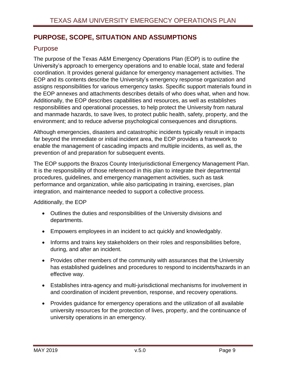# <span id="page-9-0"></span>**PURPOSE, SCOPE, SITUATION AND ASSUMPTIONS**

# <span id="page-9-1"></span>Purpose

The purpose of the Texas A&M Emergency Operations Plan (EOP) is to outline the University's approach to emergency operations and to enable local, state and federal coordination. It provides general guidance for emergency management activities. The EOP and its contents describe the University's emergency response organization and assigns responsibilities for various emergency tasks. Specific support materials found in the EOP annexes and attachments describes details of who does what, when and how. Additionally, the EOP describes capabilities and resources, as well as establishes responsibilities and operational processes, to help protect the University from natural and manmade hazards, to save lives, to protect public health, safety, property, and the environment; and to reduce adverse psychological consequences and disruptions.

Although emergencies, disasters and catastrophic incidents typically result in impacts far beyond the immediate or initial incident area, the EOP provides a framework to enable the management of cascading impacts and multiple incidents, as well as, the prevention of and preparation for subsequent events.

The EOP supports the Brazos County Interjurisdictional Emergency Management Plan. It is the responsibility of those referenced in this plan to integrate their departmental procedures, guidelines, and emergency management activities, such as task performance and organization, while also participating in training, exercises, plan integration, and maintenance needed to support a collective process.

Additionally, the EOP

- Outlines the duties and responsibilities of the University divisions and departments.
- Empowers employees in an incident to act quickly and knowledgably.
- Informs and trains key stakeholders on their roles and responsibilities before, during, and after an incident.
- Provides other members of the community with assurances that the University has established guidelines and procedures to respond to incidents/hazards in an effective way.
- Establishes intra-agency and multi-jurisdictional mechanisms for involvement in and coordination of incident prevention, response, and recovery operations.
- Provides guidance for emergency operations and the utilization of all available university resources for the protection of lives, property, and the continuance of university operations in an emergency.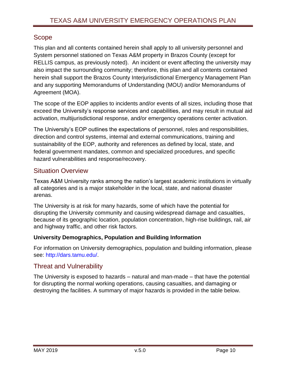# <span id="page-10-0"></span>Scope

This plan and all contents contained herein shall apply to all university personnel and System personnel stationed on Texas A&M property in Brazos County (except for RELLIS campus, as previously noted). An incident or event affecting the university may also impact the surrounding community; therefore, this plan and all contents contained herein shall support the Brazos County Interjurisdictional Emergency Management Plan and any supporting Memorandums of Understanding (MOU) and/or Memorandums of Agreement (MOA).

The scope of the EOP applies to incidents and/or events of all sizes, including those that exceed the University's response services and capabilities, and may result in mutual aid activation, multijurisdictional response, and/or emergency operations center activation.

The University's EOP outlines the expectations of personnel, roles and responsibilities, direction and control systems, internal and external communications, training and sustainability of the EOP, authority and references as defined by local, state, and federal government mandates, common and specialized procedures, and specific hazard vulnerabilities and response/recovery.

# <span id="page-10-1"></span>Situation Overview

Texas A&M University ranks among the nation's largest academic institutions in virtually all categories and is a major stakeholder in the local, state, and national disaster arenas.

The University is at risk for many hazards, some of which have the potential for disrupting the University community and causing widespread damage and casualties, because of its geographic location, population concentration, high-rise buildings, rail, air and highway traffic, and other risk factors.

### **University Demographics, Population and Building Information**

For information on University demographics, population and building information, please see: [http://dars.tamu.edu/.](http://dars.tamu.edu/)

# <span id="page-10-2"></span>Threat and Vulnerability

The University is exposed to hazards – natural and man-made – that have the potential for disrupting the normal working operations, causing casualties, and damaging or destroying the facilities. A summary of major hazards is provided in the table below.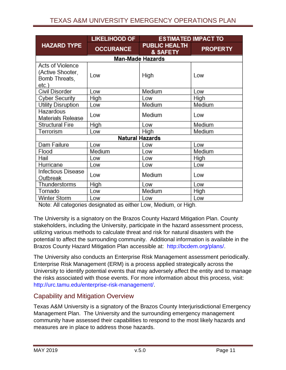# TEXAS A&M UNIVERSITY EMERGENCY OPERATIONS PLAN

|                                                                          | <b>LIKELIHOOD OF</b>   | <b>ESTIMATED IMPACT TO</b>       |                 |
|--------------------------------------------------------------------------|------------------------|----------------------------------|-----------------|
| <b>HAZARD TYPE</b>                                                       | <b>OCCURANCE</b>       | <b>PUBLIC HEALTH</b><br>& SAFETY | <b>PROPERTY</b> |
|                                                                          |                        | <b>Man-Made Hazards</b>          |                 |
| <b>Acts of Violence</b><br>(Active Shooter,<br>Bomb Threats,<br>$etc.$ ) | Low                    | High                             | Low             |
| Civil Disorder                                                           | Low                    | Medium                           | Low             |
| <b>Cyber Security</b>                                                    | High                   | Low                              | High            |
| Utility Disruption                                                       | Low                    | Medium                           | Medium          |
| Hazardous<br>Materials Release                                           | Low                    | Medium                           | Low             |
| <b>Structural Fire</b>                                                   | High                   | Low                              | Medium          |
| Terrorism                                                                | Low                    | High                             | Medium          |
|                                                                          | <b>Natural Hazards</b> |                                  |                 |
| Dam Failure                                                              | Low                    | Low                              | Low             |
| Flood                                                                    | Medium                 | Low                              | Medium          |
| Hail                                                                     | Low                    | Low                              | High            |
| Hurricane                                                                | Low                    | Low                              | Low             |
| <b>Infectious Disease</b><br>Outbreak                                    | Low                    | Medium                           | Low             |
| Thunderstorms                                                            | <b>High</b>            | Low                              | Low             |
| Tornado                                                                  | Low                    | Medium                           | High            |
| Winter Storm                                                             | Low                    | Low                              | Low             |

Note: All categories designated as either Low, Medium, or High.

The University is a signatory on the Brazos County Hazard Mitigation Plan. County stakeholders, including the University, participate in the hazard assessment process, utilizing various methods to calculate threat and risk for natural disasters with the potential to affect the surrounding community. Additional information is available in the Brazos County Hazard Mitigation Plan accessible at: [http://bcdem.org/plans/.](http://bcdem.org/plans/)

The University also conducts an Enterprise Risk Management assessment periodically. Enterprise Risk Management (ERM) is a process applied strategically across the University to identify potential events that may adversely affect the entity and to manage the risks associated with those events. For more information about this process, visit: [http://urc.tamu.edu/enterprise-risk-management/.](http://urc.tamu.edu/enterprise-risk-management/)

# <span id="page-11-0"></span>Capability and Mitigation Overview

Texas A&M University is a signatory of the Brazos County Interjurisdictional Emergency Management Plan. The University and the surrounding emergency management community have assessed their capabilities to respond to the most likely hazards and measures are in place to address those hazards.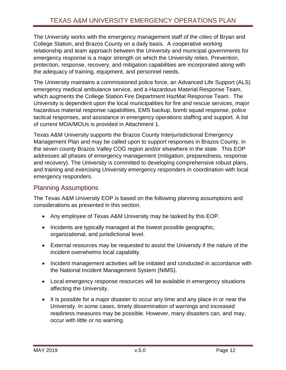The University works with the emergency management staff of the cities of Bryan and College Station, and Brazos County on a daily basis. A cooperative working relationship and team approach between the University and municipal governments for emergency response is a major strength on which the University relies. Prevention, protection, response, recovery, and mitigation capabilities are incorporated along with the adequacy of training, equipment, and personnel needs.

The University maintains a commissioned police force, an Advanced Life Support (ALS) emergency medical ambulance service, and a Hazardous Material Response Team, which augments the College Station Fire Department HazMat Response Team. The University is dependent upon the local municipalities for fire and rescue services, major hazardous material response capabilities, EMS backup, bomb squad response, police tactical responses, and assistance in emergency operations staffing and support. A list of current MOA/MOUs is provided in Attachment 1.

Texas A&M University supports the Brazos County Interjurisdictional Emergency Management Plan and may be called upon to support responses in Brazos County, in the seven county Brazos Valley COG region and/or elsewhere in the state. This EOP addresses all phases of emergency management (mitigation, preparedness, response and recovery). The University is committed to developing comprehensive robust plans, and training and exercising University emergency responders in coordination with local emergency responders.

# <span id="page-12-0"></span>Planning Assumptions

The Texas A&M University EOP is based on the following planning assumptions and considerations as presented in this section.

- Any employee of Texas A&M University may be tasked by this EOP.
- Incidents are typically managed at the lowest possible geographic, organizational, and jurisdictional level.
- External resources may be requested to assist the University if the nature of the incident overwhelms local capability.
- Incident management activities will be initiated and conducted in accordance with the National Incident Management System (NIMS).
- Local emergency response resources will be available in emergency situations affecting the University.
- It is possible for a major disaster to occur any time and any place in or near the University. In some cases, timely dissemination of warnings and increased readiness measures may be possible. However, many disasters can, and may, occur with little or no warning.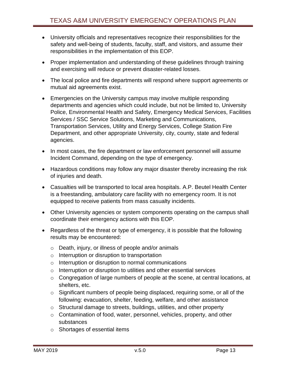- University officials and representatives recognize their responsibilities for the safety and well-being of students, faculty, staff, and visitors, and assume their responsibilities in the implementation of this EOP.
- Proper implementation and understanding of these guidelines through training and exercising will reduce or prevent disaster-related losses.
- The local police and fire departments will respond where support agreements or mutual aid agreements exist.
- Emergencies on the University campus may involve multiple responding departments and agencies which could include, but not be limited to, University Police, Environmental Health and Safety, Emergency Medical Services, Facilities Services / SSC Service Solutions, Marketing and Communications, Transportation Services, Utility and Energy Services, College Station Fire Department, and other appropriate University, city, county, state and federal agencies.
- In most cases, the fire department or law enforcement personnel will assume Incident Command, depending on the type of emergency.
- Hazardous conditions may follow any major disaster thereby increasing the risk of injuries and death.
- Casualties will be transported to local area hospitals. A.P. Beutel Health Center is a freestanding, ambulatory care facility with no emergency room. It is not equipped to receive patients from mass casualty incidents.
- Other University agencies or system components operating on the campus shall coordinate their emergency actions with this EOP.
- Regardless of the threat or type of emergency, it is possible that the following results may be encountered:
	- o Death, injury, or illness of people and/or animals
	- o Interruption or disruption to transportation
	- o Interruption or disruption to normal communications
	- o Interruption or disruption to utilities and other essential services
	- o Congregation of large numbers of people at the scene, at central locations, at shelters, etc.
	- o Significant numbers of people being displaced, requiring some, or all of the following: evacuation, shelter, feeding, welfare, and other assistance
	- o Structural damage to streets, buildings, utilities, and other property
	- o Contamination of food, water, personnel, vehicles, property, and other substances
	- o Shortages of essential items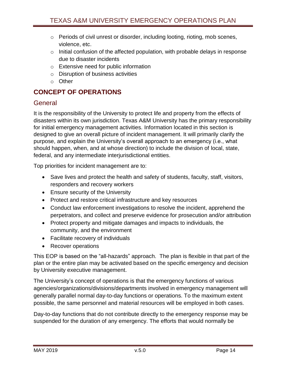- o Periods of civil unrest or disorder, including looting, rioting, mob scenes, violence, etc.
- $\circ$  Initial confusion of the affected population, with probable delays in response due to disaster incidents
- o Extensive need for public information
- o Disruption of business activities
- o Other

# <span id="page-14-0"></span>**CONCEPT OF OPERATIONS**

# <span id="page-14-1"></span>**General**

It is the responsibility of the University to protect life and property from the effects of disasters within its own jurisdiction. Texas A&M University has the primary responsibility for initial emergency management activities. Information located in this section is designed to give an overall picture of incident management. It will primarily clarify the purpose, and explain the University's overall approach to an emergency (i.e., what should happen, when, and at whose direction) to include the division of local, state, federal, and any intermediate interjurisdictional entities.

Top priorities for incident management are to:

- Save lives and protect the health and safety of students, faculty, staff, visitors, responders and recovery workers
- Ensure security of the University
- Protect and restore critical infrastructure and key resources
- Conduct law enforcement investigations to resolve the incident, apprehend the perpetrators, and collect and preserve evidence for prosecution and/or attribution
- Protect property and mitigate damages and impacts to individuals, the community, and the environment
- Facilitate recovery of individuals
- Recover operations

This EOP is based on the "all-hazards" approach. The plan is flexible in that part of the plan or the entire plan may be activated based on the specific emergency and decision by University executive management.

The University's concept of operations is that the emergency functions of various agencies/organizations/divisions/departments involved in emergency management will generally parallel normal day-to-day functions or operations. To the maximum extent possible, the same personnel and material resources will be employed in both cases.

Day-to-day functions that do not contribute directly to the emergency response may be suspended for the duration of any emergency. The efforts that would normally be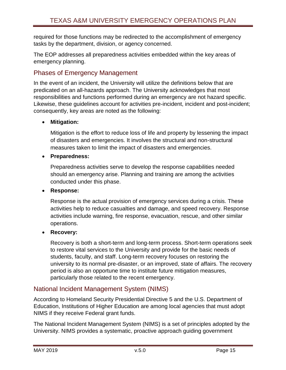required for those functions may be redirected to the accomplishment of emergency tasks by the department, division, or agency concerned.

The EOP addresses all preparedness activities embedded within the key areas of emergency planning.

# <span id="page-15-0"></span>Phases of Emergency Management

In the event of an incident, the University will utilize the definitions below that are predicated on an all-hazards approach. The University acknowledges that most responsibilities and functions performed during an emergency are not hazard specific. Likewise, these guidelines account for activities pre-incident, incident and post-incident; consequently, key areas are noted as the following:

### **Mitigation:**

Mitigation is the effort to reduce loss of life and property by lessening the impact of disasters and emergencies. It involves the structural and non-structural measures taken to limit the impact of disasters and emergencies.

**Preparedness:**

Preparedness activities serve to develop the response capabilities needed should an emergency arise. Planning and training are among the activities conducted under this phase.

### **Response:**

Response is the actual provision of emergency services during a crisis. These activities help to reduce casualties and damage, and speed recovery. Response activities include warning, fire response, evacuation, rescue, and other similar operations.

### **Recovery:**

Recovery is both a short-term and long-term process. Short-term operations seek to restore vital services to the University and provide for the basic needs of students, faculty, and staff. Long-term recovery focuses on restoring the university to its normal pre-disaster, or an improved, state of affairs. The recovery period is also an opportune time to institute future mitigation measures, particularly those related to the recent emergency.

# <span id="page-15-1"></span>National Incident Management System (NIMS)

According to Homeland Security Presidential Directive 5 and the U.S. Department of Education, Institutions of Higher Education are among local agencies that must adopt NIMS if they receive Federal grant funds.

The National Incident Management System (NIMS) is a set of principles adopted by the University. NIMS provides a systematic, proactive approach guiding government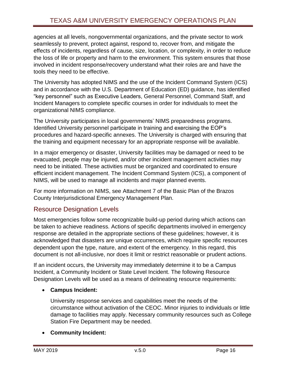agencies at all levels, nongovernmental organizations, and the private sector to work seamlessly to prevent, protect against, respond to, recover from, and mitigate the effects of incidents, regardless of cause, size, location, or complexity, in order to reduce the loss of life or property and harm to the environment. This system ensures that those involved in incident response/recovery understand what their roles are and have the tools they need to be effective.

The University has adopted NIMS and the use of the Incident Command System (ICS) and in accordance with the U.S. Department of Education (ED) guidance, has identified "key personnel" such as Executive Leaders, General Personnel, Command Staff, and Incident Managers to complete specific courses in order for individuals to meet the organizational NIMS compliance.

The University participates in local governments' NIMS preparedness programs. Identified University personnel participate in training and exercising the EOP's procedures and hazard-specific annexes. The University is charged with ensuring that the training and equipment necessary for an appropriate response will be available.

In a major emergency or disaster, University facilities may be damaged or need to be evacuated, people may be injured, and/or other incident management activities may need to be initiated. These activities must be organized and coordinated to ensure efficient incident management. The Incident Command System (ICS), a component of NIMS, will be used to manage all incidents and major planned events.

For more information on NIMS, see Attachment 7 of the Basic Plan of the Brazos County Interjurisdictional Emergency Management Plan.

# <span id="page-16-0"></span>Resource Designation Levels

Most emergencies follow some recognizable build-up period during which actions can be taken to achieve readiness. Actions of specific departments involved in emergency response are detailed in the appropriate sections of these guidelines; however, it is acknowledged that disasters are unique occurrences, which require specific resources dependent upon the type, nature, and extent of the emergency. In this regard, this document is not all-inclusive, nor does it limit or restrict reasonable or prudent actions.

If an incident occurs, the University may immediately determine it to be a Campus Incident, a Community Incident or State Level Incident. The following Resource Designation Levels will be used as a means of delineating resource requirements:

### **Campus Incident:**

University response services and capabilities meet the needs of the circumstance without activation of the CEOC. Minor injuries to individuals or little damage to facilities may apply. Necessary community resources such as College Station Fire Department may be needed.

#### **Community Incident:**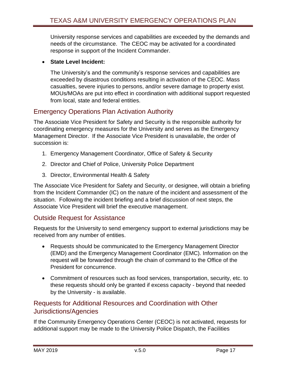University response services and capabilities are exceeded by the demands and needs of the circumstance. The CEOC may be activated for a coordinated response in support of the Incident Commander.

#### **State Level Incident:**

The University's and the community's response services and capabilities are exceeded by disastrous conditions resulting in activation of the CEOC. Mass casualties, severe injuries to persons, and/or severe damage to property exist. MOUs/MOAs are put into effect in coordination with additional support requested from local, state and federal entities.

# <span id="page-17-0"></span>Emergency Operations Plan Activation Authority

The Associate Vice President for Safety and Security is the responsible authority for coordinating emergency measures for the University and serves as the Emergency Management Director. If the Associate Vice President is unavailable, the order of succession is:

- 1. Emergency Management Coordinator, Office of Safety & Security
- 2. Director and Chief of Police, University Police Department
- 3. Director, Environmental Health & Safety

The Associate Vice President for Safety and Security, or designee, will obtain a briefing from the Incident Commander (IC) on the nature of the incident and assessment of the situation. Following the incident briefing and a brief discussion of next steps, the Associate Vice President will brief the executive management.

# <span id="page-17-1"></span>Outside Request for Assistance

Requests for the University to send emergency support to external jurisdictions may be received from any number of entities.

- Requests should be communicated to the Emergency Management Director (EMD) and the Emergency Management Coordinator (EMC). Information on the request will be forwarded through the chain of command to the Office of the President for concurrence.
- Commitment of resources such as food services, transportation, security, etc. to these requests should only be granted if excess capacity - beyond that needed by the University - is available.

# <span id="page-17-2"></span>Requests for Additional Resources and Coordination with Other Jurisdictions/Agencies

If the Community Emergency Operations Center (CEOC) is not activated, requests for additional support may be made to the University Police Dispatch, the Facilities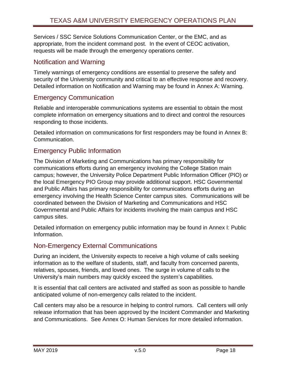Services / SSC Service Solutions Communication Center, or the EMC, and as appropriate, from the incident command post. In the event of CEOC activation, requests will be made through the emergency operations center.

# <span id="page-18-0"></span>Notification and Warning

Timely warnings of emergency conditions are essential to preserve the safety and security of the University community and critical to an effective response and recovery. Detailed information on Notification and Warning may be found in Annex A: Warning.

# <span id="page-18-1"></span>Emergency Communication

Reliable and interoperable communications systems are essential to obtain the most complete information on emergency situations and to direct and control the resources responding to those incidents.

Detailed information on communications for first responders may be found in Annex B: Communication.

# <span id="page-18-2"></span>Emergency Public Information

The Division of Marketing and Communications has primary responsibility for communications efforts during an emergency involving the College Station main campus; however, the University Police Department Public Information Officer (PIO) or the local Emergency PIO Group may provide additional support. HSC Governmental and Public Affairs has primary responsibility for communications efforts during an emergency involving the Health Science Center campus sites. Communications will be coordinated between the Division of Marketing and Communications and HSC Governmental and Public Affairs for incidents involving the main campus and HSC campus sites.

Detailed information on emergency public information may be found in Annex I: Public Information.

# <span id="page-18-3"></span>Non-Emergency External Communications

During an incident, the University expects to receive a high volume of calls seeking information as to the welfare of students, staff, and faculty from concerned parents, relatives, spouses, friends, and loved ones. The surge in volume of calls to the University's main numbers may quickly exceed the system's capabilities.

It is essential that call centers are activated and staffed as soon as possible to handle anticipated volume of non-emergency calls related to the incident.

Call centers may also be a resource in helping to control rumors. Call centers will only release information that has been approved by the Incident Commander and Marketing and Communications. See Annex O: Human Services for more detailed information.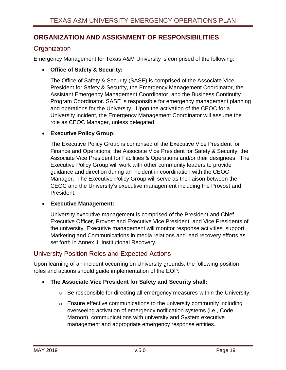# <span id="page-19-0"></span>**ORGANIZATION AND ASSIGNMENT OF RESPONSIBILITIES**

# <span id="page-19-1"></span>**Organization**

Emergency Management for Texas A&M University is comprised of the following:

#### **Office of Safety & Security:**

The Office of Safety & Security (SASE) is comprised of the Associate Vice President for Safety & Security, the Emergency Management Coordinator, the Assistant Emergency Management Coordinator, and the Business Continuity Program Coordinator. SASE is responsible for emergency management planning and operations for the University. Upon the activation of the CEOC for a University incident, the Emergency Management Coordinator will assume the role as CEOC Manager, unless delegated.

#### **Executive Policy Group:**

The Executive Policy Group is comprised of the Executive Vice President for Finance and Operations, the Associate Vice President for Safety & Security, the Associate Vice President for Facilities & Operations and/or their designees. The Executive Policy Group will work with other community leaders to provide guidance and direction during an incident in coordination with the CEOC Manager. The Executive Policy Group will serve as the liaison between the CEOC and the University's executive management including the Provost and President.

#### **Executive Management:**

University executive management is comprised of the President and Chief Executive Officer, Provost and Executive Vice President, and Vice Presidents of the university. Executive management will monitor response activities, support Marketing and Communications in media relations and lead recovery efforts as set forth in Annex J, Institutional Recovery.

### <span id="page-19-2"></span>University Position Roles and Expected Actions

Upon learning of an incident occurring on University grounds, the following position roles and actions should guide implementation of the EOP:

- **The Associate Vice President for Safety and Security shall:**
	- o Be responsible for directing all emergency measures within the University.
	- o Ensure effective communications to the university community including overseeing activation of emergency notification systems (i.e., Code Maroon), communications with university and System executive management and appropriate emergency response entities.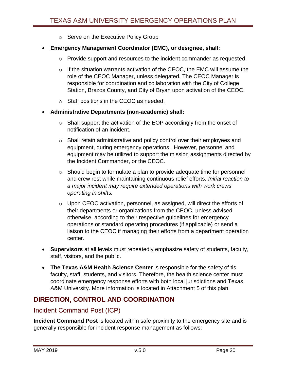- o Serve on the Executive Policy Group
- **Emergency Management Coordinator (EMC), or designee, shall:**
	- o Provide support and resources to the incident commander as requested
	- o If the situation warrants activation of the CEOC, the EMC will assume the role of the CEOC Manager, unless delegated. The CEOC Manager is responsible for coordination and collaboration with the City of College Station, Brazos County, and City of Bryan upon activation of the CEOC.
	- o Staff positions in the CEOC as needed.
- **Administrative Departments (non-academic) shall:**
	- o Shall support the activation of the EOP accordingly from the onset of notification of an incident.
	- $\circ$  Shall retain administrative and policy control over their employees and equipment, during emergency operations. However, personnel and equipment may be utilized to support the mission assignments directed by the Incident Commander, or the CEOC.
	- o Should begin to formulate a plan to provide adequate time for personnel and crew rest while maintaining continuous relief efforts. *Initial reaction to a major incident may require extended operations with work crews operating in shifts.*
	- o Upon CEOC activation, personnel, as assigned, will direct the efforts of their departments or organizations from the CEOC, unless advised otherwise, according to their respective guidelines for emergency operations or standard operating procedures (if applicable) or send a liaison to the CEOC if managing their efforts from a department operation center.
- **Supervisors** at all levels must repeatedly emphasize safety of students, faculty, staff, visitors, and the public.
- **The Texas A&M Health Science Center** is responsible for the safety of tis faculty, staff, students, and visitors. Therefore, the health science center must coordinate emergency response efforts with both local jurisdictions and Texas A&M University. More information is located in Attachment 5 of this plan.

# <span id="page-20-0"></span>**DIRECTION, CONTROL AND COORDINATION**

# <span id="page-20-1"></span>Incident Command Post (ICP)

**Incident Command Post** is located within safe proximity to the emergency site and is generally responsible for incident response management as follows: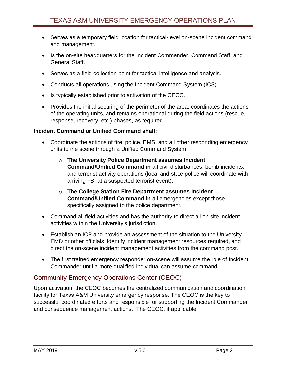- Serves as a temporary field location for tactical-level on-scene incident command and management.
- Is the on-site headquarters for the Incident Commander, Command Staff, and General Staff.
- Serves as a field collection point for tactical intelligence and analysis.
- Conducts all operations using the Incident Command System (ICS).
- Is typically established prior to activation of the CEOC.
- Provides the initial securing of the perimeter of the area, coordinates the actions of the operating units, and remains operational during the field actions (rescue, response, recovery, etc.) phases, as required.

#### **Incident Command or Unified Command shall:**

- Coordinate the actions of fire, police, EMS, and all other responding emergency units to the scene through a Unified Command System.
	- o **The University Police Department assumes Incident Command/Unified Command in** all civil disturbances, bomb incidents, and terrorist activity operations (local and state police will coordinate with arriving FBI at a suspected terrorist event).
	- o **The College Station Fire Department assumes Incident Command/Unified Command in** all emergencies except those specifically assigned to the police department.
- Command all field activities and has the authority to direct all on site incident activities within the University's jurisdiction.
- Establish an ICP and provide an assessment of the situation to the University EMD or other officials, identify incident management resources required, and direct the on-scene incident management activities from the command post.
- The first trained emergency responder on-scene will assume the role of Incident Commander until a more qualified individual can assume command.

# <span id="page-21-0"></span>Community Emergency Operations Center (CEOC)

Upon activation, the CEOC becomes the centralized communication and coordination facility for Texas A&M University emergency response. The CEOC is the key to successful coordinated efforts and responsible for supporting the Incident Commander and consequence management actions. The CEOC, if applicable: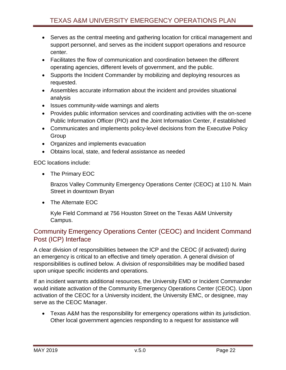- Serves as the central meeting and gathering location for critical management and support personnel, and serves as the incident support operations and resource center.
- Facilitates the flow of communication and coordination between the different operating agencies, different levels of government, and the public.
- Supports the Incident Commander by mobilizing and deploying resources as requested.
- Assembles accurate information about the incident and provides situational analysis
- Issues community-wide warnings and alerts
- Provides public information services and coordinating activities with the on-scene Public Information Officer (PIO) and the Joint Information Center, if established
- Communicates and implements policy-level decisions from the Executive Policy Group
- Organizes and implements evacuation
- Obtains local, state, and federal assistance as needed

EOC locations include:

• The Primary EOC

Brazos Valley Community Emergency Operations Center (CEOC) at 110 N. Main Street in downtown Bryan

• The Alternate EOC

Kyle Field Command at 756 Houston Street on the Texas A&M University Campus.

# <span id="page-22-0"></span>Community Emergency Operations Center (CEOC) and Incident Command Post (ICP) Interface

A clear division of responsibilities between the ICP and the CEOC (if activated) during an emergency is critical to an effective and timely operation. A general division of responsibilities is outlined below. A division of responsibilities may be modified based upon unique specific incidents and operations.

If an incident warrants additional resources, the University EMD or Incident Commander would initiate activation of the Community Emergency Operations Center (CEOC). Upon activation of the CEOC for a University incident, the University EMC, or designee, may serve as the CEOC Manager.

 Texas A&M has the responsibility for emergency operations within its jurisdiction. Other local government agencies responding to a request for assistance will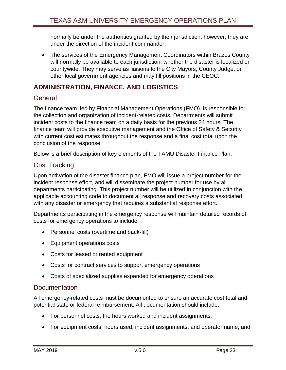normally be under the authorities granted by their jurisdiction; however, they are under the direction of the incident commander.

• The services of the Emergency Management Coordinators within Brazos County will normally be available to each jurisdiction, whether the disaster is localized or countywide. They may serve as liaisons to the City Mayors, County Judge, or other local government agencies and may fill positions in the CEOC.

# <span id="page-23-0"></span>**ADMINISTRATION, FINANCE, AND LOGISTICS**

# <span id="page-23-1"></span>**General**

The finance team, led by Financial Management Operations (FMO), is responsible for the collection and organization of incident-related costs. Departments will submit incident costs to the finance team on a daily basis for the previous 24 hours. The finance team will provide executive management and the Office of Safety & Security with current cost estimates throughout the response and a final cost total upon the conclusion of the response.

Below is a brief description of key elements of the TAMU Disaster Finance Plan.

# <span id="page-23-2"></span>Cost Tracking

Upon activation of the disaster finance plan, FMO will issue a project number for the incident response effort, and will disseminate the project number for use by all departments participating. This project number will be utilized in conjunction with the applicable accounting code to document all response and recovery costs associated with any disaster or emergency that requires a substantial response effort.

Departments participating in the emergency response will maintain detailed records of costs for emergency operations to include:

- Personnel costs (overtime and back-fill)
- Equipment operations costs
- Costs for leased or rented equipment
- Costs for contract services to support emergency operations
- Costs of specialized supplies expended for emergency operations

# <span id="page-23-3"></span>**Documentation**

All emergency-related costs must be documented to ensure an accurate cost total and potential state or federal reimbursement. All documentation should include:

- For personnel costs, the hours worked and incident assignments;
- For equipment costs, hours used, incident assignments, and operator name; and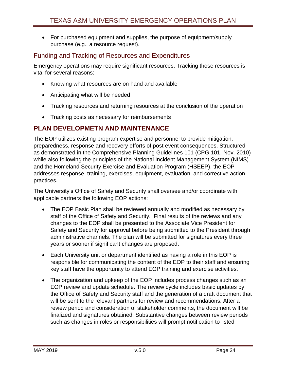For purchased equipment and supplies, the purpose of equipment/supply purchase (e.g., a resource request).

# <span id="page-24-0"></span>Funding and Tracking of Resources and Expenditures

Emergency operations may require significant resources. Tracking those resources is vital for several reasons:

- Knowing what resources are on hand and available
- Anticipating what will be needed
- Tracking resources and returning resources at the conclusion of the operation
- Tracking costs as necessary for reimbursements

# <span id="page-24-1"></span>**PLAN DEVELOPMETN AND MAINTENANCE**

The EOP utilizes existing program expertise and personnel to provide mitigation, preparedness, response and recovery efforts of post event consequences. Structured as demonstrated in the Comprehensive Planning Guidelines 101 (CPG 101, Nov. 2010) while also following the principles of the National Incident Management System (NIMS) and the Homeland Security Exercise and Evaluation Program (HSEEP), the EOP addresses response, training, exercises, equipment, evaluation, and corrective action practices.

The University's Office of Safety and Security shall oversee and/or coordinate with applicable partners the following EOP actions:

- The EOP Basic Plan shall be reviewed annually and modified as necessary by staff of the Office of Safety and Security. Final results of the reviews and any changes to the EOP shall be presented to the Associate Vice President for Safety and Security for approval before being submitted to the President through administrative channels. The plan will be submitted for signatures every three years or sooner if significant changes are proposed.
- Each University unit or department identified as having a role in this EOP is responsible for communicating the content of the EOP to their staff and ensuring key staff have the opportunity to attend EOP training and exercise activities.
- The organization and upkeep of the EOP includes process changes such as an EOP review and update schedule. The review cycle includes basic updates by the Office of Safety and Security staff and the generation of a draft document that will be sent to the relevant partners for review and recommendations. After a review period and consideration of stakeholder comments, the document will be finalized and signatures obtained. Substantive changes between review periods such as changes in roles or responsibilities will prompt notification to listed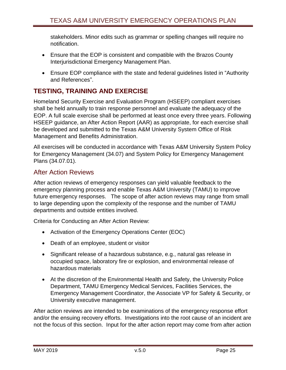stakeholders. Minor edits such as grammar or spelling changes will require no notification.

- Ensure that the EOP is consistent and compatible with the Brazos County Interjurisdictional Emergency Management Plan.
- Ensure EOP compliance with the state and federal guidelines listed in "Authority and References".

# <span id="page-25-0"></span>**TESTING, TRAINING AND EXERCISE**

Homeland Security Exercise and Evaluation Program (HSEEP) compliant exercises shall be held annually to train response personnel and evaluate the adequacy of the EOP. A full scale exercise shall be performed at least once every three years. Following HSEEP guidance, an After Action Report (AAR) as appropriate, for each exercise shall be developed and submitted to the Texas A&M University System Office of Risk Management and Benefits Administration.

All exercises will be conducted in accordance with Texas A&M University System Policy for Emergency Management (34.07) and System Policy for Emergency Management Plans (34.07.01).

# <span id="page-25-1"></span>After Action Reviews

After action reviews of emergency responses can yield valuable feedback to the emergency planning process and enable Texas A&M University (TAMU) to improve future emergency responses. The scope of after action reviews may range from small to large depending upon the complexity of the response and the number of TAMU departments and outside entities involved.

Criteria for Conducting an After Action Review:

- Activation of the Emergency Operations Center (EOC)
- Death of an employee, student or visitor
- Significant release of a hazardous substance, e.g., natural gas release in occupied space, laboratory fire or explosion, and environmental release of hazardous materials
- At the discretion of the Environmental Health and Safety, the University Police Department, TAMU Emergency Medical Services, Facilities Services, the Emergency Management Coordinator, the Associate VP for Safety & Security, or University executive management.

After action reviews are intended to be examinations of the emergency response effort and/or the ensuing recovery efforts. Investigations into the root cause of an incident are not the focus of this section. Input for the after action report may come from after action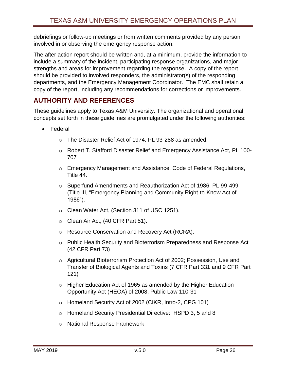debriefings or follow-up meetings or from written comments provided by any person involved in or observing the emergency response action.

The after action report should be written and, at a minimum, provide the information to include a summary of the incident, participating response organizations, and major strengths and areas for improvement regarding the response. A copy of the report should be provided to involved responders, the administrator(s) of the responding departments, and the Emergency Management Coordinator. The EMC shall retain a copy of the report, including any recommendations for corrections or improvements.

# <span id="page-26-0"></span>**AUTHORITY AND REFERENCES**

These guidelines apply to Texas A&M University. The organizational and operational concepts set forth in these guidelines are promulgated under the following authorities:

- Federal
	- o The Disaster Relief Act of 1974, PL 93-288 as amended.
	- o Robert T. Stafford Disaster Relief and Emergency Assistance Act, PL 100- 707
	- o Emergency Management and Assistance, Code of Federal Regulations, Title 44.
	- o Superfund Amendments and Reauthorization Act of 1986, PL 99-499 (Title III, "Emergency Planning and Community Right-to-Know Act of 1986").
	- o Clean Water Act, (Section 311 of USC 1251).
	- o Clean Air Act, (40 CFR Part 51).
	- o Resource Conservation and Recovery Act (RCRA).
	- o Public Health Security and Bioterrorism Preparedness and Response Act (42 CFR Part 73)
	- o Agricultural Bioterrorism Protection Act of 2002; Possession, Use and Transfer of Biological Agents and Toxins (7 CFR Part 331 and 9 CFR Part 121)
	- o Higher Education Act of 1965 as amended by the Higher Education Opportunity Act (HEOA) of 2008, Public Law 110-31
	- o Homeland Security Act of 2002 (CIKR, Intro-2, CPG 101)
	- o Homeland Security Presidential Directive: HSPD 3, 5 and 8
	- o National Response Framework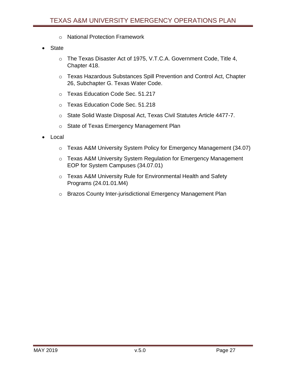- o National Protection Framework
- **State** 
	- o The Texas Disaster Act of 1975, V.T.C.A. Government Code, Title 4, Chapter 418.
	- o Texas Hazardous Substances Spill Prevention and Control Act, Chapter 26, Subchapter G. Texas Water Code.
	- o Texas Education Code Sec. 51.217
	- o Texas Education Code Sec. 51.218
	- o State Solid Waste Disposal Act, Texas Civil Statutes Article 4477-7.
	- o State of Texas Emergency Management Plan
- Local
	- o Texas A&M University System Policy for Emergency Management (34.07)
	- o Texas A&M University System Regulation for Emergency Management EOP for System Campuses (34.07.01)
	- o Texas A&M University Rule for Environmental Health and Safety Programs (24.01.01.M4)
	- o Brazos County Inter-jurisdictional Emergency Management Plan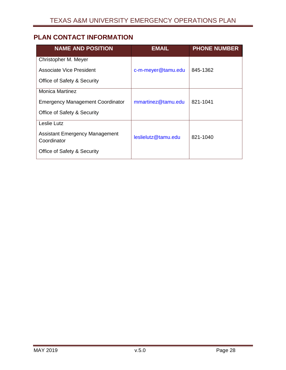# <span id="page-28-0"></span>**PLAN CONTACT INFORMATION**

| <b>NAME AND POSITION</b>                             | <b>EMAIL</b>        | <b>PHONE NUMBER</b> |
|------------------------------------------------------|---------------------|---------------------|
| Christopher M. Meyer                                 |                     |                     |
| <b>Associate Vice President</b>                      | c-m-meyer@tamu.edu  | 845-1362            |
| Office of Safety & Security                          |                     |                     |
| <b>Monica Martinez</b>                               |                     |                     |
| <b>Emergency Management Coordinator</b>              | mmartinez@tamu.edu  | 821-1041            |
| Office of Safety & Security                          |                     |                     |
| Leslie Lutz                                          |                     |                     |
| <b>Assistant Emergency Management</b><br>Coordinator | leslielutz@tamu.edu | 821-1040            |
| Office of Safety & Security                          |                     |                     |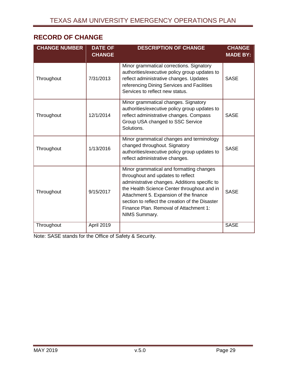# <span id="page-29-0"></span>**RECORD OF CHANGE**

| <b>CHANGE NUMBER</b> | <b>DATE OF</b><br><b>CHANGE</b> | <b>DESCRIPTION OF CHANGE</b>                                                                                                                                                                                                                                                                                                          | <b>CHANGE</b><br><b>MADE BY:</b> |
|----------------------|---------------------------------|---------------------------------------------------------------------------------------------------------------------------------------------------------------------------------------------------------------------------------------------------------------------------------------------------------------------------------------|----------------------------------|
| Throughout           | 7/31/2013                       | Minor grammatical corrections. Signatory<br>authorities/executive policy group updates to<br>reflect administrative changes. Updates<br>referencing Dining Services and Facilities<br>Services to reflect new status.                                                                                                                 | <b>SASE</b>                      |
| Throughout           | 12/1/2014                       | Minor grammatical changes. Signatory<br>authorities/executive policy group updates to<br>reflect administrative changes. Compass<br>Group USA changed to SSC Service<br>Solutions.                                                                                                                                                    | <b>SASE</b>                      |
| Throughout           | 1/13/2016                       | Minor grammatical changes and terminology<br>changed throughout. Signatory<br>authorities/executive policy group updates to<br>reflect administrative changes.                                                                                                                                                                        | <b>SASE</b>                      |
| Throughout           | 9/15/2017                       | Minor grammatical and formatting changes<br>throughout and updates to reflect<br>administrative changes. Additions specific to<br>the Health Science Center throughout and in<br>Attachment 5. Expansion of the finance<br>section to reflect the creation of the Disaster<br>Finance Plan. Removal of Attachment 1:<br>NIMS Summary. | <b>SASE</b>                      |
| Throughout           | April 2019                      |                                                                                                                                                                                                                                                                                                                                       | <b>SASE</b>                      |

Note: SASE stands for the Office of Safety & Security.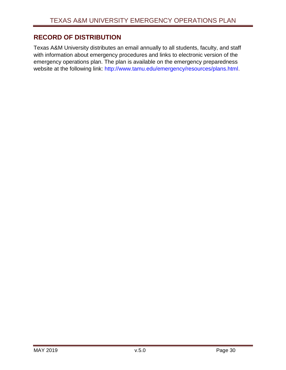# <span id="page-30-0"></span>**RECORD OF DISTRIBUTION**

Texas A&M University distributes an email annually to all students, faculty, and staff with information about emergency procedures and links to electronic version of the emergency operations plan. The plan is available on the emergency preparedness website at the following link: [http://www.tamu.edu/emergency/resources/plans.html.](http://www.tamu.edu/emergency/resources/plans.html)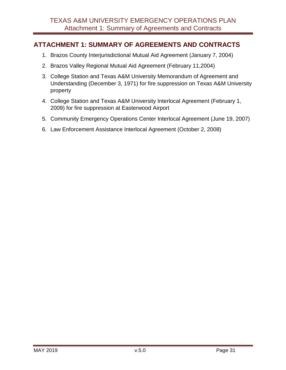# <span id="page-31-0"></span>**ATTACHMENT 1: SUMMARY OF AGREEMENTS AND CONTRACTS**

- 1. Brazos County Interjurisdictional Mutual Aid Agreement (January 7, 2004)
- 2. Brazos Valley Regional Mutual Aid Agreement (February 11,2004)
- 3. College Station and Texas A&M University Memorandum of Agreement and Understanding (December 3, 1971) for fire suppression on Texas A&M University property
- 4. College Station and Texas A&M University Interlocal Agreement (February 1, 2009) for fire suppression at Easterwood Airport
- 5. Community Emergency Operations Center Interlocal Agreement (June 19, 2007)
- 6. Law Enforcement Assistance Interlocal Agreement (October 2, 2008)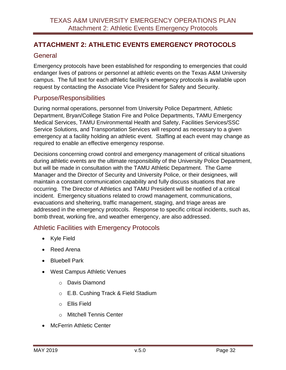# <span id="page-32-0"></span>**ATTACHMENT 2: ATHLETIC EVENTS EMERGENCY PROTOCOLS**

# <span id="page-32-1"></span>General

Emergency protocols have been established for responding to emergencies that could endanger lives of patrons or personnel at athletic events on the Texas A&M University campus. The full text for each athletic facility's emergency protocols is available upon request by contacting the Associate Vice President for Safety and Security.

# <span id="page-32-2"></span>Purpose/Responsibilities

During normal operations, personnel from University Police Department, Athletic Department, Bryan/College Station Fire and Police Departments, TAMU Emergency Medical Services, TAMU Environmental Health and Safety, Facilities Services/SSC Service Solutions, and Transportation Services will respond as necessary to a given emergency at a facility holding an athletic event. Staffing at each event may change as required to enable an effective emergency response.

Decisions concerning crowd control and emergency management of critical situations during athletic events are the ultimate responsibility of the University Police Department, but will be made in consultation with the TAMU Athletic Department. The Game Manager and the Director of Security and University Police, or their designees, will maintain a constant communication capability and fully discuss situations that are occurring. The Director of Athletics and TAMU President will be notified of a critical incident. Emergency situations related to crowd management, communications, evacuations and sheltering, traffic management, staging, and triage areas are addressed in the emergency protocols. Response to specific critical incidents, such as, bomb threat, working fire, and weather emergency, are also addressed.

# <span id="page-32-3"></span>Athletic Facilities with Emergency Protocols

- Kyle Field
- Reed Arena
- Bluebell Park
- West Campus Athletic Venues
	- o Davis Diamond
	- o E.B. Cushing Track & Field Stadium
	- o Ellis Field
	- o Mitchell Tennis Center
- McFerrin Athletic Center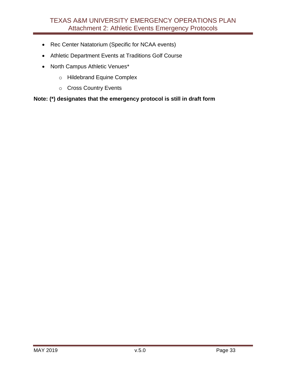- Rec Center Natatorium (Specific for NCAA events)
- Athletic Department Events at Traditions Golf Course
- North Campus Athletic Venues\*
	- o Hildebrand Equine Complex
	- o Cross Country Events

#### **Note: (\*) designates that the emergency protocol is still in draft form**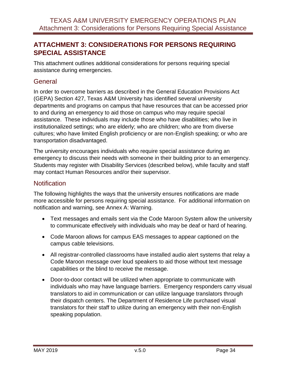# <span id="page-34-0"></span>**ATTACHMENT 3: CONSIDERATIONS FOR PERSONS REQUIRING SPECIAL ASSISTANCE**

This attachment outlines additional considerations for persons requiring special assistance during emergencies.

### <span id="page-34-1"></span>**General**

In order to overcome barriers as described in the General Education Provisions Act (GEPA) Section 427, Texas A&M University has identified several university departments and programs on campus that have resources that can be accessed prior to and during an emergency to aid those on campus who may require special assistance. These individuals may include those who have disabilities; who live in institutionalized settings; who are elderly; who are children; who are from diverse cultures; who have limited English proficiency or are non-English speaking; or who are transportation disadvantaged.

The university encourages individuals who require special assistance during an emergency to discuss their needs with someone in their building prior to an emergency. Students may register with Disability Services (described below), while faculty and staff may contact Human Resources and/or their supervisor.

# <span id="page-34-2"></span>**Notification**

The following highlights the ways that the university ensures notifications are made more accessible for persons requiring special assistance. For additional information on notification and warning, see Annex A: Warning.

- Text messages and emails sent via the Code Maroon System allow the university to communicate effectively with individuals who may be deaf or hard of hearing.
- Code Maroon allows for campus EAS messages to appear captioned on the campus cable televisions.
- All registrar-controlled classrooms have installed audio alert systems that relay a Code Maroon message over loud speakers to aid those without text message capabilities or the blind to receive the message.
- Door-to-door contact will be utilized when appropriate to communicate with individuals who may have language barriers. Emergency responders carry visual translators to aid in communication or can utilize language translators through their dispatch centers. The Department of Residence Life purchased visual translators for their staff to utilize during an emergency with their non-English speaking population.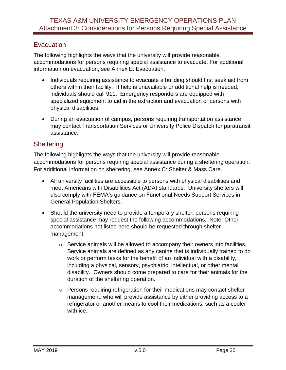# <span id="page-35-0"></span>**Evacuation**

The following highlights the ways that the university will provide reasonable accommodations for persons requiring special assistance to evacuate. For additional information on evacuation, see Annex E: Evacuation.

- Individuals requiring assistance to evacuate a building should first seek aid from others within their facility. If help is unavailable or additional help is needed, individuals should call 911. Emergency responders are equipped with specialized equipment to aid in the extraction and evacuation of persons with physical disabilities.
- During an evacuation of campus, persons requiring transportation assistance may contact Transportation Services or University Police Dispatch for paratransit assistance.

# <span id="page-35-1"></span>**Sheltering**

The following highlights the ways that the university will provide reasonable accommodations for persons requiring special assistance during a sheltering operation. For additional information on sheltering, see Annex C: Shelter & Mass Care.

- All university facilities are accessible to persons with physical disabilities and meet Americans with Disabilities Act (ADA) standards. University shelters will also comply with FEMA's guidance on Functional Needs Support Services in General Population Shelters.
- Should the university need to provide a temporary shelter, persons requiring special assistance may request the following accommodations. Note: Other accommodations not listed here should be requested through shelter management.
	- o Service animals will be allowed to accompany their owners into facilities. Service animals are defined as any canine that is individually trained to do work or perform tasks for the benefit of an individual with a disability, including a physical, sensory, psychiatric, intellectual, or other mental disability. Owners should come prepared to care for their animals for the duration of the sheltering operation.
	- o Persons requiring refrigeration for their medications may contact shelter management, who will provide assistance by either providing access to a refrigerator or another means to cool their medications, such as a cooler with ice.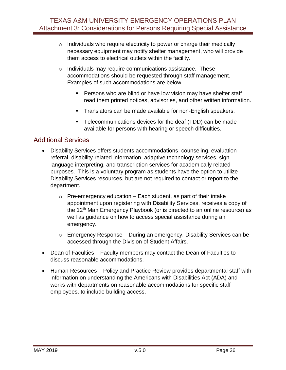- $\circ$  Individuals who require electricity to power or charge their medically necessary equipment may notify shelter management, who will provide them access to electrical outlets within the facility.
- o Individuals may require communications assistance. These accommodations should be requested through staff management. Examples of such accommodations are below.
	- **Persons who are blind or have low vision may have shelter staff** read them printed notices, advisories, and other written information.
	- **Translators can be made available for non-English speakers.**
	- **Telecommunications devices for the deaf (TDD) can be made** available for persons with hearing or speech difficulties.

# <span id="page-36-0"></span>Additional Services

- Disability Services offers students accommodations, counseling, evaluation referral, disability-related information, adaptive technology services, sign language interpreting, and transcription services for academically related purposes. This is a voluntary program as students have the option to utilize Disability Services resources, but are not required to contact or report to the department.
	- $\circ$  Pre-emergency education Each student, as part of their intake appointment upon registering with Disability Services, receives a copy of the 12<sup>th</sup> Man Emergency Playbook (or is directed to an online resource) as well as guidance on how to access special assistance during an emergency.
	- $\circ$  Emergency Response During an emergency, Disability Services can be accessed through the Division of Student Affairs.
- Dean of Faculties Faculty members may contact the Dean of Faculties to discuss reasonable accommodations.
- Human Resources Policy and Practice Review provides departmental staff with information on understanding the Americans with Disabilities Act (ADA) and works with departments on reasonable accommodations for specific staff employees, to include building access.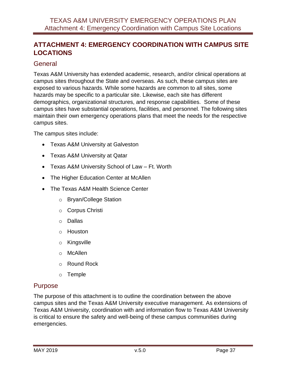# <span id="page-37-0"></span>**ATTACHMENT 4: EMERGENCY COORDINATION WITH CAMPUS SITE LOCATIONS**

# <span id="page-37-1"></span>**General**

Texas A&M University has extended academic, research, and/or clinical operations at campus sites throughout the State and overseas. As such, these campus sites are exposed to various hazards. While some hazards are common to all sites, some hazards may be specific to a particular site. Likewise, each site has different demographics, organizational structures, and response capabilities. Some of these campus sites have substantial operations, facilities, and personnel. The following sites maintain their own emergency operations plans that meet the needs for the respective campus sites.

The campus sites include:

- Texas A&M University at Galveston
- Texas A&M University at Qatar
- Texas A&M University School of Law Ft. Worth
- The Higher Education Center at McAllen
- The Texas A&M Health Science Center
	- o Bryan/College Station
	- o Corpus Christi
	- o Dallas
	- o Houston
	- o Kingsville
	- o McAllen
	- o Round Rock
	- o Temple

### <span id="page-37-2"></span>Purpose

The purpose of this attachment is to outline the coordination between the above campus sites and the Texas A&M University executive management. As extensions of Texas A&M University, coordination with and information flow to Texas A&M University is critical to ensure the safety and well-being of these campus communities during emergencies.